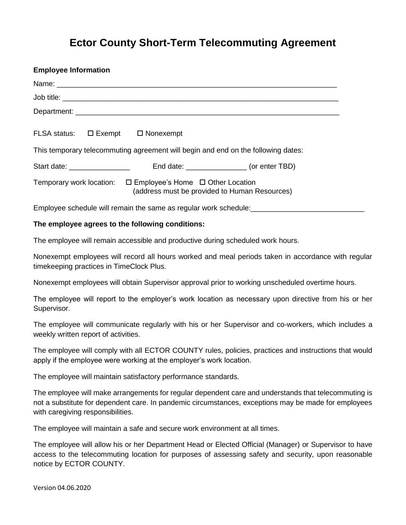## **Ector County Short-Term Telecommuting Agreement**

| <b>Employee Information</b>                                                       |  |                                               |  |
|-----------------------------------------------------------------------------------|--|-----------------------------------------------|--|
|                                                                                   |  |                                               |  |
|                                                                                   |  |                                               |  |
|                                                                                   |  |                                               |  |
| FLSA status: □ Exempt □ Nonexempt                                                 |  |                                               |  |
| This temporary telecommuting agreement will begin and end on the following dates: |  |                                               |  |
|                                                                                   |  |                                               |  |
| Temporary work location: $\Box$ Employee's Home $\Box$ Other Location             |  | (address must be provided to Human Resources) |  |

Employee schedule will remain the same as regular work schedule:

## **The employee agrees to the following conditions:**

The employee will remain accessible and productive during scheduled work hours.

Nonexempt employees will record all hours worked and meal periods taken in accordance with regular timekeeping practices in TimeClock Plus.

Nonexempt employees will obtain Supervisor approval prior to working unscheduled overtime hours.

The employee will report to the employer's work location as necessary upon directive from his or her Supervisor.

The employee will communicate regularly with his or her Supervisor and co-workers, which includes a weekly written report of activities.

The employee will comply with all ECTOR COUNTY rules, policies, practices and instructions that would apply if the employee were working at the employer's work location.

The employee will maintain satisfactory performance standards.

The employee will make arrangements for regular dependent care and understands that telecommuting is not a substitute for dependent care. In pandemic circumstances, exceptions may be made for employees with caregiving responsibilities.

The employee will maintain a safe and secure work environment at all times.

The employee will allow his or her Department Head or Elected Official (Manager) or Supervisor to have access to the telecommuting location for purposes of assessing safety and security, upon reasonable notice by ECTOR COUNTY.